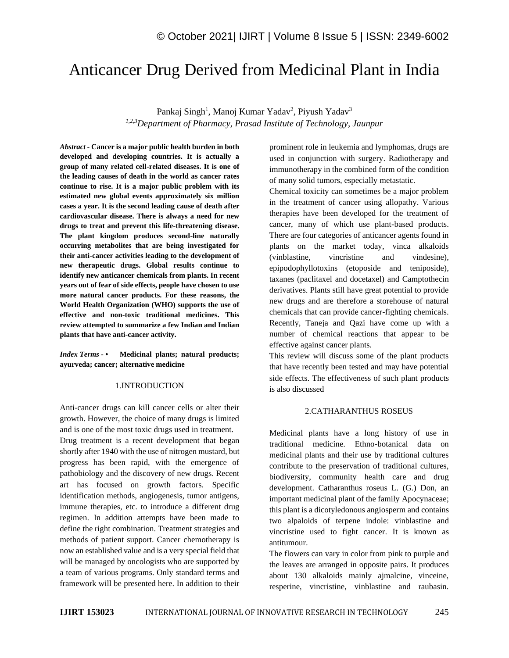# Anticancer Drug Derived from Medicinal Plant in India

Pankaj Singh<sup>1</sup>, Manoj Kumar Yadav<sup>2</sup>, Piyush Yadav<sup>3</sup> *1,2,3Department of Pharmacy, Prasad Institute of Technology, Jaunpur*

*Abstract -* **Cancer is a major public health burden in both developed and developing countries. It is actually a group of many related cell-related diseases. It is one of the leading causes of death in the world as cancer rates continue to rise. It is a major public problem with its estimated new global events approximately six million cases a year. It is the second leading cause of death after cardiovascular disease. There is always a need for new drugs to treat and prevent this life-threatening disease. The plant kingdom produces second-line naturally occurring metabolites that are being investigated for their anti-cancer activities leading to the development of new therapeutic drugs. Global results continue to identify new anticancer chemicals from plants. In recent years out of fear of side effects, people have chosen to use more natural cancer products. For these reasons, the World Health Organization (WHO) supports the use of effective and non-toxic traditional medicines. This review attempted to summarize a few Indian and Indian plants that have anti-cancer activity.**

*Index Terms -* **• Medicinal plants; natural products; ayurveda; cancer; alternative medicine**

#### 1.INTRODUCTION

Anti-cancer drugs can kill cancer cells or alter their growth. However, the choice of many drugs is limited and is one of the most toxic drugs used in treatment. Drug treatment is a recent development that began shortly after 1940 with the use of nitrogen mustard, but progress has been rapid, with the emergence of pathobiology and the discovery of new drugs. Recent art has focused on growth factors. Specific identification methods, angiogenesis, tumor antigens, immune therapies, etc. to introduce a different drug regimen. In addition attempts have been made to define the right combination. Treatment strategies and methods of patient support. Cancer chemotherapy is now an established value and is a very special field that will be managed by oncologists who are supported by a team of various programs. Only standard terms and framework will be presented here. In addition to their prominent role in leukemia and lymphomas, drugs are used in conjunction with surgery. Radiotherapy and immunotherapy in the combined form of the condition of many solid tumors, especially metastatic.

Chemical toxicity can sometimes be a major problem in the treatment of cancer using allopathy. Various therapies have been developed for the treatment of cancer, many of which use plant-based products. There are four categories of anticancer agents found in plants on the market today, vinca alkaloids (vinblastine, vincristine and vindesine), epipodophyllotoxins (etoposide and teniposide), taxanes (paclitaxel and docetaxel) and Camptothecin derivatives. Plants still have great potential to provide new drugs and are therefore a storehouse of natural chemicals that can provide cancer-fighting chemicals. Recently, Taneja and Qazi have come up with a number of chemical reactions that appear to be effective against cancer plants.

This review will discuss some of the plant products that have recently been tested and may have potential side effects. The effectiveness of such plant products is also discussed

#### 2.CATHARANTHUS ROSEUS

Medicinal plants have a long history of use in traditional medicine. Ethno-botanical data on medicinal plants and their use by traditional cultures contribute to the preservation of traditional cultures, biodiversity, community health care and drug development. Catharanthus roseus L. (G.) Don, an important medicinal plant of the family Apocynaceae; this plant is a dicotyledonous angiosperm and contains two alpaloids of terpene indole: vinblastine and vincristine used to fight cancer. It is known as antitumour.

The flowers can vary in color from pink to purple and the leaves are arranged in opposite pairs. It produces about 130 alkaloids mainly ajmalcine, vinceine, resperine, vincristine, vinblastine and raubasin.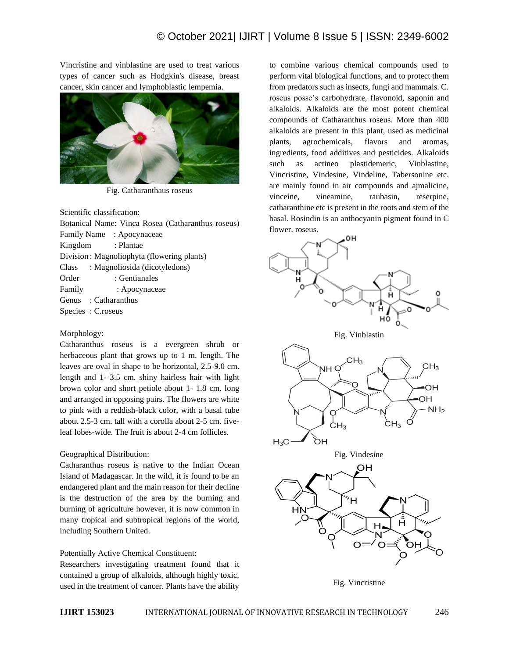Vincristine and vinblastine are used to treat various types of cancer such as Hodgkin's disease, breast cancer, skin cancer and lymphoblastic lempemia.



Fig. Catharanthaus roseus

Scientific classification:

Botanical Name: Vinca Rosea (Catharanthus roseus) Family Name : Apocynaceae Kingdom : Plantae Division : Magnoliophyta (flowering plants) Class : Magnoliosida (dicotyledons) Order : Gentianales Family : Apocynaceae Genus : Catharanthus Species : C.roseus

#### Morphology:

Catharanthus roseus is a evergreen shrub or herbaceous plant that grows up to 1 m. length. The leaves are oval in shape to be horizontal, 2.5-9.0 cm. length and 1- 3.5 cm. shiny hairless hair with light brown color and short petiole about 1- 1.8 cm. long and arranged in opposing pairs. The flowers are white to pink with a reddish-black color, with a basal tube about 2.5-3 cm. tall with a corolla about 2-5 cm. fiveleaf lobes-wide. The fruit is about 2-4 cm follicles.

# Geographical Distribution:

Catharanthus roseus is native to the Indian Ocean Island of Madagascar. In the wild, it is found to be an endangered plant and the main reason for their decline is the destruction of the area by the burning and burning of agriculture however, it is now common in many tropical and subtropical regions of the world, including Southern United.

# Potentially Active Chemical Constituent:

Researchers investigating treatment found that it contained a group of alkaloids, although highly toxic, used in the treatment of cancer. Plants have the ability

to combine various chemical compounds used to perform vital biological functions, and to protect them from predators such as insects, fungi and mammals. C. roseus posse's carbohydrate, flavonoid, saponin and alkaloids. Alkaloids are the most potent chemical compounds of Catharanthus roseus. More than 400 alkaloids are present in this plant, used as medicinal plants, agrochemicals, flavors and aromas, ingredients, food additives and pesticides. Alkaloids such as actineo plastidemeric, Vinblastine, Vincristine, Vindesine, Vindeline, Tabersonine etc. are mainly found in air compounds and ajmalicine, vinceine, vineamine, raubasin, reserpine, catharanthine etc is present in the roots and stem of the basal. Rosindin is an anthocyanin pigment found in C flower. roseus.



Fig. Vincristine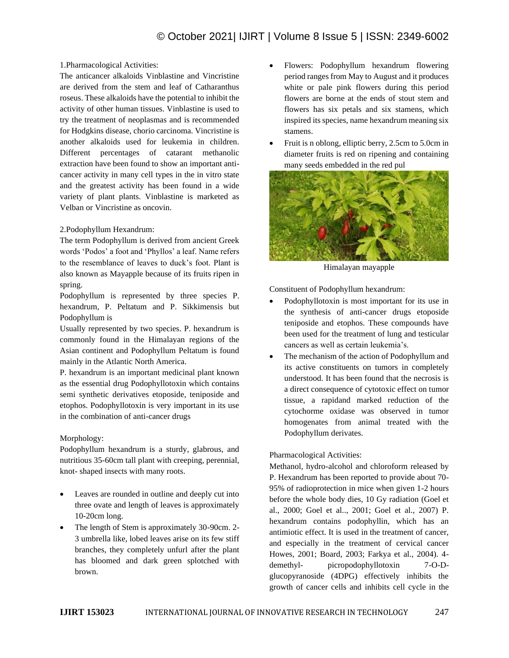### 1.Pharmacological Activities:

The anticancer alkaloids Vinblastine and Vincristine are derived from the stem and leaf of Catharanthus roseus. These alkaloids have the potential to inhibit the activity of other human tissues. Vinblastine is used to try the treatment of neoplasmas and is recommended for Hodgkins disease, chorio carcinoma. Vincristine is another alkaloids used for leukemia in children. Different percentages of catarant methanolic extraction have been found to show an important anticancer activity in many cell types in the in vitro state and the greatest activity has been found in a wide variety of plant plants. Vinblastine is marketed as Velban or Vincristine as oncovin.

### 2.Podophyllum Hexandrum:

The term Podophyllum is derived from ancient Greek words 'Podos' a foot and 'Phyllos' a leaf. Name refers to the resemblance of leaves to duck's foot. Plant is also known as Mayapple because of its fruits ripen in spring.

Podophyllum is represented by three species P. hexandrum, P. Peltatum and P. Sikkimensis but Podophyllum is

Usually represented by two species. P. hexandrum is commonly found in the Himalayan regions of the Asian continent and Podophyllum Peltatum is found mainly in the Atlantic North America.

P. hexandrum is an important medicinal plant known as the essential drug Podophyllotoxin which contains semi synthetic derivatives etoposide, teniposide and etophos. Podophyllotoxin is very important in its use in the combination of anti-cancer drugs

# Morphology:

Podophyllum hexandrum is a sturdy, glabrous, and nutritious 35-60cm tall plant with creeping, perennial, knot- shaped insects with many roots.

- Leaves are rounded in outline and deeply cut into three ovate and length of leaves is approximately 10-20cm long.
- The length of Stem is approximately 30-90cm. 2- 3 umbrella like, lobed leaves arise on its few stiff branches, they completely unfurl after the plant has bloomed and dark green splotched with brown.
- Flowers: Podophyllum hexandrum flowering period ranges from May to August and it produces white or pale pink flowers during this period flowers are borne at the ends of stout stem and flowers has six petals and six stamens, which inspired its species, name hexandrum meaning six stamens.
- Fruit is n oblong, elliptic berry, 2.5cm to 5.0cm in diameter fruits is red on ripening and containing many seeds embedded in the red pul



Himalayan mayapple

Constituent of Podophyllum hexandrum:

- Podophyllotoxin is most important for its use in the synthesis of anti-cancer drugs etoposide teniposide and etophos. These compounds have been used for the treatment of lung and testicular cancers as well as certain leukemia's.
- The mechanism of the action of Podophyllum and its active constituents on tumors in completely understood. It has been found that the necrosis is a direct consequence of cytotoxic effect on tumor tissue, a rapidand marked reduction of the cytochorme oxidase was observed in tumor homogenates from animal treated with the Podophyllum derivates.

# Pharmacological Activities:

Methanol, hydro-alcohol and chloroform released by P. Hexandrum has been reported to provide about 70- 95% of radioprotection in mice when given 1-2 hours before the whole body dies, 10 Gy radiation (Goel et al., 2000; Goel et al.., 2001; Goel et al., 2007) P. hexandrum contains podophyllin, which has an antimiotic effect. It is used in the treatment of cancer, and especially in the treatment of cervical cancer Howes, 2001; Board, 2003; Farkya et al., 2004). 4 demethyl- picropodophyllotoxin 7-O-Dglucopyranoside (4DPG) effectively inhibits the growth of cancer cells and inhibits cell cycle in the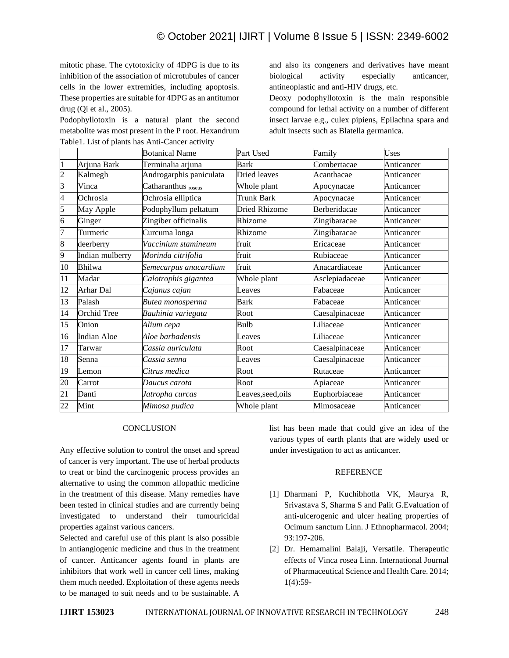mitotic phase. The cytotoxicity of 4DPG is due to its inhibition of the association of microtubules of cancer cells in the lower extremities, including apoptosis. These properties are suitable for 4DPG as an antitumor drug (Qi et al., 2005).

Podophyllotoxin is a natural plant the second metabolite was most present in the P root. Hexandrum Table1. List of plants has Anti-Cancer activity

and also its congeners and derivatives have meant biological activity especially anticancer, antineoplastic and anti-HIV drugs, etc.

Deoxy podophyllotoxin is the main responsible compound for lethal activity on a number of different insect larvae e.g., culex pipiens, Epilachna spara and adult insects such as Blatella germanica.

|                |                    | <b>Botanical Name</b>   | Part Used          | Family         | Uses       |
|----------------|--------------------|-------------------------|--------------------|----------------|------------|
|                | Arjuna Bark        | Terminalia arjuna       | <b>Bark</b>        | Combertacae    | Anticancer |
| $\overline{c}$ | Kalmegh            | Androgarphis paniculata | Dried leaves       | Acanthacae     | Anticancer |
| 3              | Vinca              | Catharanthus roseus     | Whole plant        | Apocynacae     | Anticancer |
| 4              | Ochrosia           | Ochrosia elliptica      | <b>Trunk Bark</b>  | Apocynacae     | Anticancer |
| 5              | May Apple          | Podophyllum peltatum    | Dried Rhizome      | Berberidacae   | Anticancer |
| 6              | Ginger             | Zingiber officinalis    | Rhizome            | Zingibaracae   | Anticancer |
| 7              | Turmeric           | Curcuma longa           | Rhizome            | Zingibaracae   | Anticancer |
| 8              | deerberry          | Vaccinium stamineum     | fruit              | Ericaceae      | Anticancer |
| 9              | Indian mulberry    | Morinda citrifolia      | fruit              | Rubiaceae      | Anticancer |
| 10             | Bhilwa             | Semecarpus anacardium   | fruit              | Anacardiaceae  | Anticancer |
| 11             | Madar              | Calotrophis gigantea    | Whole plant        | Asclepiadaceae | Anticancer |
| 12             | Arhar Dal          | Cajanus cajan           | Leaves             | Fabaceae       | Anticancer |
| 13             | Palash             | Butea monosperma        | Bark               | Fabaceae       | Anticancer |
| 14             | Orchid Tree        | Bauhinia variegata      | Root               | Caesalpinaceae | Anticancer |
| 15             | Onion              | Alium cepa              | Bulb               | Liliaceae      | Anticancer |
| 16             | <b>Indian Aloe</b> | Aloe barbadensis        | Leaves             | Liliaceae      | Anticancer |
| 17             | Tarwar             | Cassia auriculata       | Root               | Caesalpinaceae | Anticancer |
| 18             | Senna              | Cassia senna            | Leaves             | Caesalpinaceae | Anticancer |
| 19             | Lemon              | Citrus medica           | Root               | Rutaceae       | Anticancer |
| 20             | Carrot             | Daucus carota           | Root               | Apiaceae       | Anticancer |
| 21             | Danti              | Jatropha curcas         | Leaves, seed, oils | Euphorbiaceae  | Anticancer |
| 22             | Mint               | Mimosa pudica           | Whole plant        | Mimosaceae     | Anticancer |

#### **CONCLUSION**

Any effective solution to control the onset and spread of cancer is very important. The use of herbal products to treat or bind the carcinogenic process provides an alternative to using the common allopathic medicine in the treatment of this disease. Many remedies have been tested in clinical studies and are currently being investigated to understand their tumouricidal properties against various cancers.

Selected and careful use of this plant is also possible in antiangiogenic medicine and thus in the treatment of cancer. Anticancer agents found in plants are inhibitors that work well in cancer cell lines, making them much needed. Exploitation of these agents needs to be managed to suit needs and to be sustainable. A

list has been made that could give an idea of the various types of earth plants that are widely used or under investigation to act as anticancer.

#### **REFERENCE**

- [1] Dharmani P, Kuchibhotla VK, Maurya R, Srivastava S, Sharma S and Palit G.Evaluation of anti-ulcerogenic and ulcer healing properties of Ocimum sanctum Linn. J Ethnopharmacol. 2004; 93:197-206.
- [2] Dr. Hemamalini Balaji, Versatile. Therapeutic effects of Vinca rosea Linn. International Journal of Pharmaceutical Science and Health Care. 2014; 1(4):59-